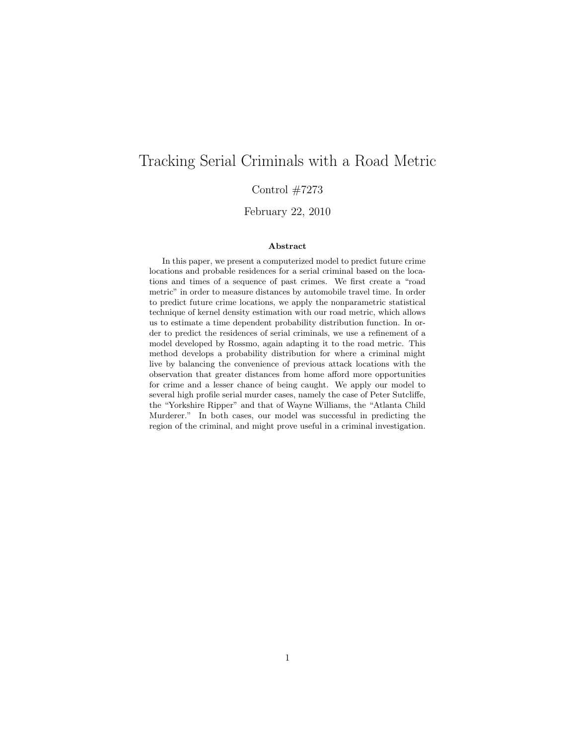# Tracking Serial Criminals with a Road Metric

Control  $\#7273$ 

February 22, 2010

#### Abstract

In this paper, we present a computerized model to predict future crime locations and probable residences for a serial criminal based on the locations and times of a sequence of past crimes. We first create a "road metric" in order to measure distances by automobile travel time. In order to predict future crime locations, we apply the nonparametric statistical technique of kernel density estimation with our road metric, which allows us to estimate a time dependent probability distribution function. In order to predict the residences of serial criminals, we use a refinement of a model developed by Rossmo, again adapting it to the road metric. This method develops a probability distribution for where a criminal might live by balancing the convenience of previous attack locations with the observation that greater distances from home afford more opportunities for crime and a lesser chance of being caught. We apply our model to several high profile serial murder cases, namely the case of Peter Sutcliffe, the "Yorkshire Ripper" and that of Wayne Williams, the "Atlanta Child Murderer." In both cases, our model was successful in predicting the region of the criminal, and might prove useful in a criminal investigation.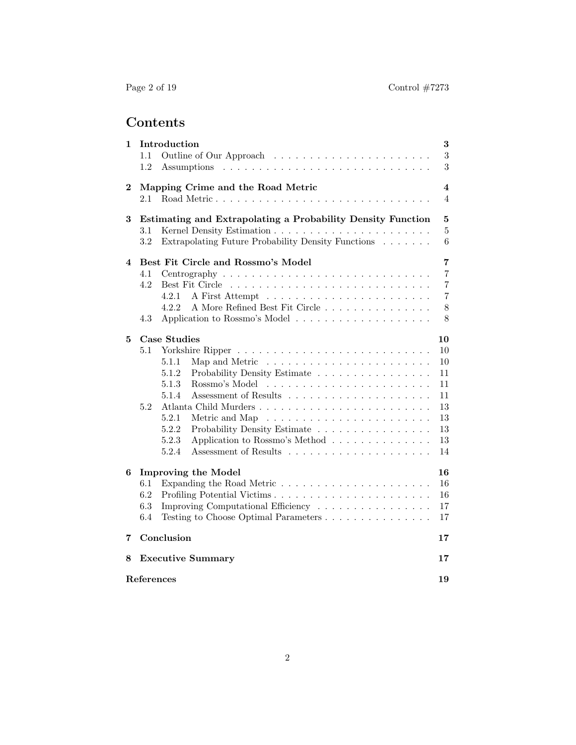# Contents

| 1        | Introduction<br>1.1<br>1.2                                                                                                                                                                                                    | $\bf{3}$<br>$\sqrt{3}$<br>3                                                        |  |
|----------|-------------------------------------------------------------------------------------------------------------------------------------------------------------------------------------------------------------------------------|------------------------------------------------------------------------------------|--|
| $\bf{2}$ | Mapping Crime and the Road Metric<br>2.1                                                                                                                                                                                      | 4<br>4                                                                             |  |
| 3        | Estimating and Extrapolating a Probability Density Function<br>$3.1\,$<br>3.2<br>Extrapolating Future Probability Density Functions                                                                                           | $\bf{5}$<br>$\overline{5}$<br>6                                                    |  |
| 4        | Best Fit Circle and Rossmo's Model<br>4.1<br>4.2<br>4.2.1<br>A More Refined Best Fit Circle<br>4.2.2<br>4.3                                                                                                                   | $\overline{7}$<br>$\overline{7}$<br>$\overline{7}$<br>$\overline{7}$<br>$8\,$<br>8 |  |
| 5        | <b>Case Studies</b><br>5.1<br>5.1.1<br>5.1.2<br>Probability Density Estimate<br>Rossmo's Model<br>5.1.3<br>5.1.4<br>5.2<br>5.2.1<br>5.2.2<br>Probability Density Estimate<br>Application to Rossmo's Method<br>5.2.3<br>5.2.4 | 10<br>10<br>10<br>11<br>11<br>11<br>13<br>13<br>13<br>13<br>14                     |  |
| 6        | <b>Improving the Model</b><br>6.1<br>6.2<br>6.3<br>Improving Computational Efficiency<br>6.4                                                                                                                                  | 16<br>16<br>16<br>17<br>17                                                         |  |
| 7        | Conclusion                                                                                                                                                                                                                    | 17                                                                                 |  |
| 8        | <b>Executive Summary</b>                                                                                                                                                                                                      | 17                                                                                 |  |
|          | References                                                                                                                                                                                                                    |                                                                                    |  |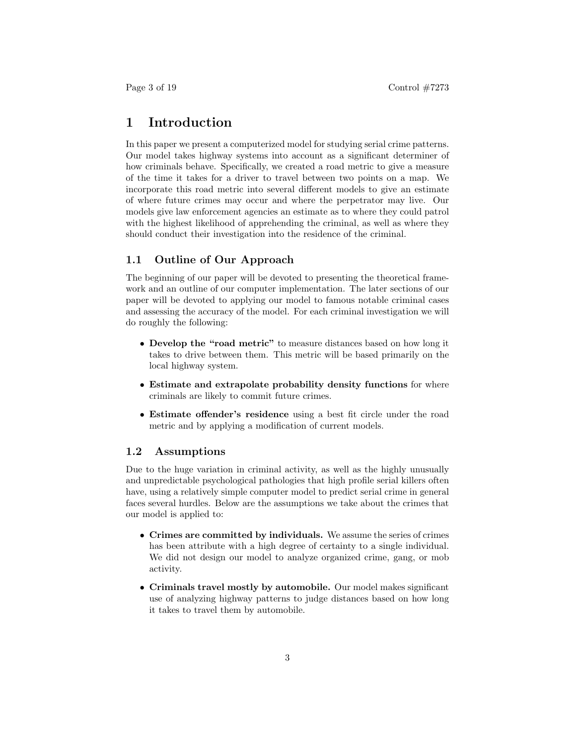## 1 Introduction

In this paper we present a computerized model for studying serial crime patterns. Our model takes highway systems into account as a significant determiner of how criminals behave. Specifically, we created a road metric to give a measure of the time it takes for a driver to travel between two points on a map. We incorporate this road metric into several different models to give an estimate of where future crimes may occur and where the perpetrator may live. Our models give law enforcement agencies an estimate as to where they could patrol with the highest likelihood of apprehending the criminal, as well as where they should conduct their investigation into the residence of the criminal.

#### 1.1 Outline of Our Approach

The beginning of our paper will be devoted to presenting the theoretical framework and an outline of our computer implementation. The later sections of our paper will be devoted to applying our model to famous notable criminal cases and assessing the accuracy of the model. For each criminal investigation we will do roughly the following:

- Develop the "road metric" to measure distances based on how long it takes to drive between them. This metric will be based primarily on the local highway system.
- Estimate and extrapolate probability density functions for where criminals are likely to commit future crimes.
- Estimate offender's residence using a best fit circle under the road metric and by applying a modification of current models.

#### 1.2 Assumptions

Due to the huge variation in criminal activity, as well as the highly unusually and unpredictable psychological pathologies that high profile serial killers often have, using a relatively simple computer model to predict serial crime in general faces several hurdles. Below are the assumptions we take about the crimes that our model is applied to:

- Crimes are committed by individuals. We assume the series of crimes has been attribute with a high degree of certainty to a single individual. We did not design our model to analyze organized crime, gang, or mob activity.
- Criminals travel mostly by automobile. Our model makes significant use of analyzing highway patterns to judge distances based on how long it takes to travel them by automobile.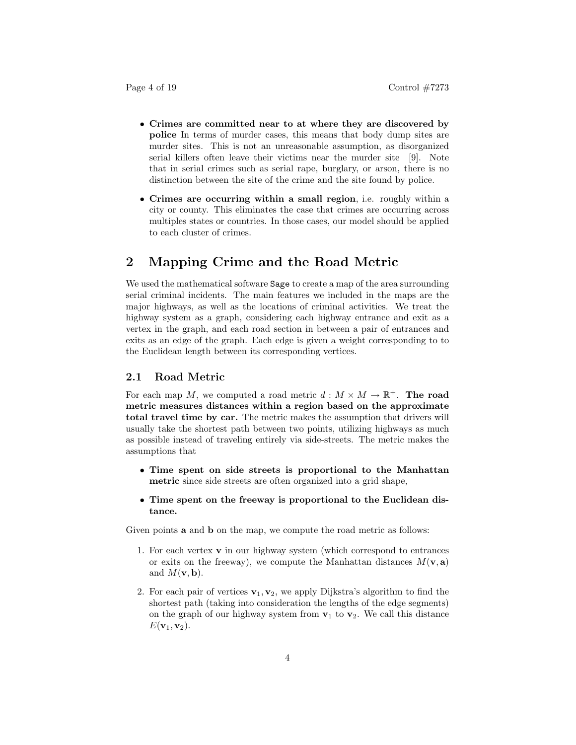- Crimes are committed near to at where they are discovered by police In terms of murder cases, this means that body dump sites are murder sites. This is not an unreasonable assumption, as disorganized serial killers often leave their victims near the murder site [9]. Note that in serial crimes such as serial rape, burglary, or arson, there is no distinction between the site of the crime and the site found by police.
- Crimes are occurring within a small region, i.e. roughly within a city or county. This eliminates the case that crimes are occurring across multiples states or countries. In those cases, our model should be applied to each cluster of crimes.

# 2 Mapping Crime and the Road Metric

We used the mathematical software Sage to create a map of the area surrounding serial criminal incidents. The main features we included in the maps are the major highways, as well as the locations of criminal activities. We treat the highway system as a graph, considering each highway entrance and exit as a vertex in the graph, and each road section in between a pair of entrances and exits as an edge of the graph. Each edge is given a weight corresponding to to the Euclidean length between its corresponding vertices.

#### 2.1 Road Metric

For each map M, we computed a road metric  $d : M \times M \to \mathbb{R}^+$ . The road metric measures distances within a region based on the approximate total travel time by car. The metric makes the assumption that drivers will usually take the shortest path between two points, utilizing highways as much as possible instead of traveling entirely via side-streets. The metric makes the assumptions that

- Time spent on side streets is proportional to the Manhattan metric since side streets are often organized into a grid shape,
- Time spent on the freeway is proportional to the Euclidean distance.

Given points **a** and **b** on the map, we compute the road metric as follows:

- 1. For each vertex  $\bf{v}$  in our highway system (which correspond to entrances or exits on the freeway), we compute the Manhattan distances  $M(\mathbf{v}, \mathbf{a})$ and  $M(\mathbf{v},\mathbf{b})$ .
- 2. For each pair of vertices  $\mathbf{v}_1, \mathbf{v}_2$ , we apply Dijkstra's algorithm to find the shortest path (taking into consideration the lengths of the edge segments) on the graph of our highway system from  $v_1$  to  $v_2$ . We call this distance  $E(\mathbf{v}_1, \mathbf{v}_2)$ .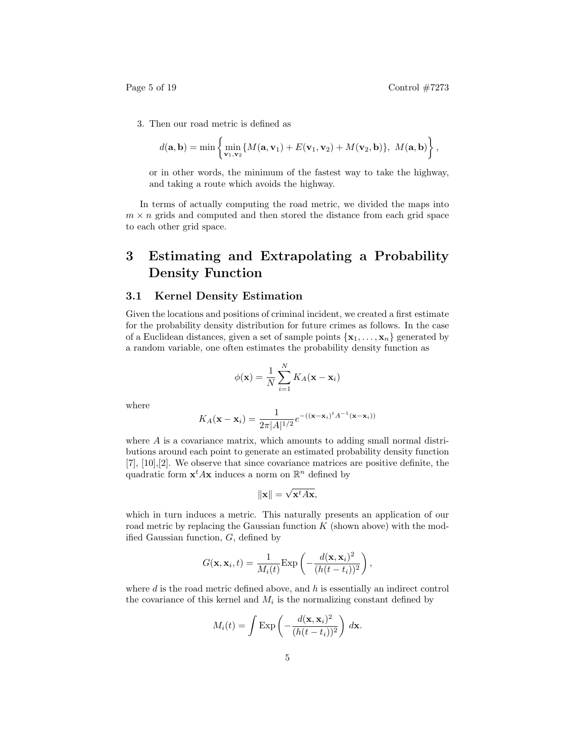3. Then our road metric is defined as

$$
d(\mathbf{a},\mathbf{b}) = \min \left\{ \min_{\mathbf{v}_1,\mathbf{v}_2} \{ M(\mathbf{a},\mathbf{v}_1) + E(\mathbf{v}_1,\mathbf{v}_2) + M(\mathbf{v}_2,\mathbf{b}) \}, \ M(\mathbf{a},\mathbf{b}) \right\},\
$$

or in other words, the minimum of the fastest way to take the highway, and taking a route which avoids the highway.

In terms of actually computing the road metric, we divided the maps into  $m \times n$  grids and computed and then stored the distance from each grid space to each other grid space.

# 3 Estimating and Extrapolating a Probability Density Function

#### 3.1 Kernel Density Estimation

Given the locations and positions of criminal incident, we created a first estimate for the probability density distribution for future crimes as follows. In the case of a Euclidean distances, given a set of sample points  $\{x_1, \ldots, x_n\}$  generated by a random variable, one often estimates the probability density function as

$$
\phi(\mathbf{x}) = \frac{1}{N} \sum_{i=1}^{N} K_A(\mathbf{x} - \mathbf{x}_i)
$$

where

$$
K_A(\mathbf{x} - \mathbf{x}_i) = \frac{1}{2\pi |A|^{1/2}} e^{-((\mathbf{x} - \mathbf{x}_i)^t A^{-1}(\mathbf{x} - \mathbf{x}_i))}
$$

where A is a covariance matrix, which amounts to adding small normal distributions around each point to generate an estimated probability density function  $[7], [10], [2].$  We observe that since covariance matrices are positive definite, the quadratic form  $\mathbf{x}^t A \mathbf{x}$  induces a norm on  $\mathbb{R}^n$  defined by

$$
\|\mathbf{x}\| = \sqrt{\mathbf{x}^t A \mathbf{x}},
$$

which in turn induces a metric. This naturally presents an application of our road metric by replacing the Gaussian function  $K$  (shown above) with the modified Gaussian function, G, defined by

$$
G(\mathbf{x}, \mathbf{x}_i, t) = \frac{1}{M_i(t)} \text{Exp}\left(-\frac{d(\mathbf{x}, \mathbf{x}_i)^2}{(h(t - t_i))^2}\right),
$$

where  $d$  is the road metric defined above, and  $h$  is essentially an indirect control the covariance of this kernel and  $M_i$  is the normalizing constant defined by

$$
M_i(t) = \int \exp\left(-\frac{d(\mathbf{x}, \mathbf{x}_i)^2}{(h(t - t_i))^2}\right) d\mathbf{x}.
$$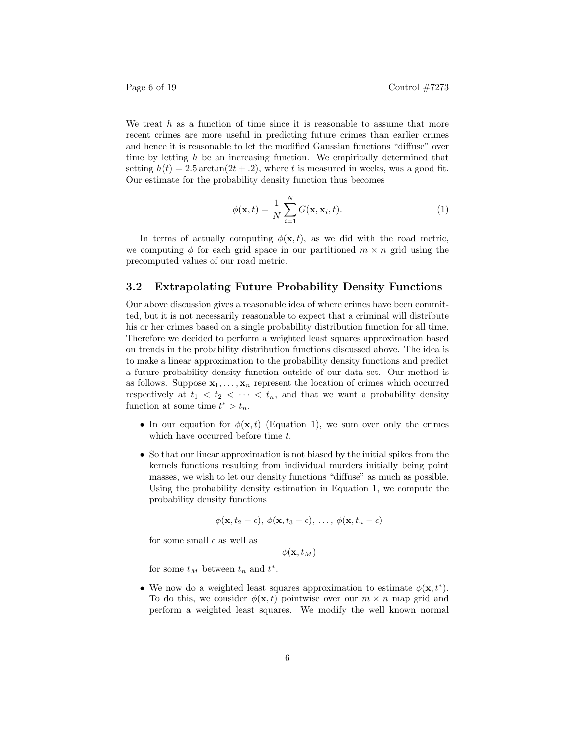We treat  $h$  as a function of time since it is reasonable to assume that more recent crimes are more useful in predicting future crimes than earlier crimes and hence it is reasonable to let the modified Gaussian functions "diffuse" over time by letting  $h$  be an increasing function. We empirically determined that setting  $h(t) = 2.5 \arctan(2t + 0.2)$ , where t is measured in weeks, was a good fit. Our estimate for the probability density function thus becomes

$$
\phi(\mathbf{x},t) = \frac{1}{N} \sum_{i=1}^{N} G(\mathbf{x}, \mathbf{x}_i, t).
$$
 (1)

In terms of actually computing  $\phi(\mathbf{x}, t)$ , as we did with the road metric, we computing  $\phi$  for each grid space in our partitioned  $m \times n$  grid using the precomputed values of our road metric.

#### 3.2 Extrapolating Future Probability Density Functions

Our above discussion gives a reasonable idea of where crimes have been committed, but it is not necessarily reasonable to expect that a criminal will distribute his or her crimes based on a single probability distribution function for all time. Therefore we decided to perform a weighted least squares approximation based on trends in the probability distribution functions discussed above. The idea is to make a linear approximation to the probability density functions and predict a future probability density function outside of our data set. Our method is as follows. Suppose  $x_1, \ldots, x_n$  represent the location of crimes which occurred respectively at  $t_1 < t_2 < \cdots < t_n$ , and that we want a probability density function at some time  $t^* > t_n$ .

- In our equation for  $\phi(\mathbf{x}, t)$  (Equation 1), we sum over only the crimes which have occurred before time t.
- So that our linear approximation is not biased by the initial spikes from the kernels functions resulting from individual murders initially being point masses, we wish to let our density functions "diffuse" as much as possible. Using the probability density estimation in Equation 1, we compute the probability density functions

$$
\phi(\mathbf{x}, t_2 - \epsilon), \phi(\mathbf{x}, t_3 - \epsilon), \ldots, \phi(\mathbf{x}, t_n - \epsilon)
$$

for some small  $\epsilon$  as well as

$$
\phi({\bf x},t_M)
$$

for some  $t_M$  between  $t_n$  and  $t^*$ .

• We now do a weighted least squares approximation to estimate  $\phi(\mathbf{x}, t^*)$ . To do this, we consider  $\phi(\mathbf{x}, t)$  pointwise over our  $m \times n$  map grid and perform a weighted least squares. We modify the well known normal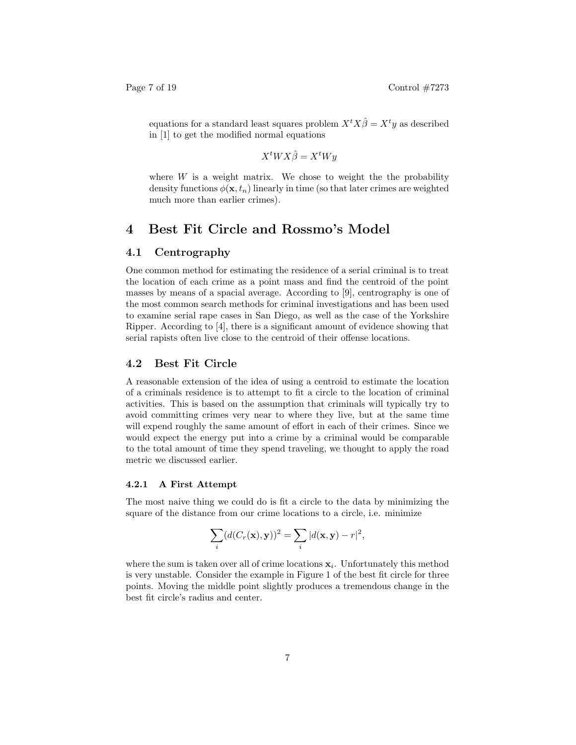equations for a standard least squares problem  $X<sup>t</sup>X\hat{\beta} = X<sup>t</sup>y$  as described in [1] to get the modified normal equations

$$
X^tWX\hat{\beta} = X^tWy
$$

where  $W$  is a weight matrix. We chose to weight the the probability density functions  $\phi(\mathbf{x}, t_n)$  linearly in time (so that later crimes are weighted much more than earlier crimes).

# 4 Best Fit Circle and Rossmo's Model

#### 4.1 Centrography

One common method for estimating the residence of a serial criminal is to treat the location of each crime as a point mass and find the centroid of the point masses by means of a spacial average. According to [9], centrography is one of the most common search methods for criminal investigations and has been used to examine serial rape cases in San Diego, as well as the case of the Yorkshire Ripper. According to [4], there is a significant amount of evidence showing that serial rapists often live close to the centroid of their offense locations.

### 4.2 Best Fit Circle

A reasonable extension of the idea of using a centroid to estimate the location of a criminals residence is to attempt to fit a circle to the location of criminal activities. This is based on the assumption that criminals will typically try to avoid committing crimes very near to where they live, but at the same time will expend roughly the same amount of effort in each of their crimes. Since we would expect the energy put into a crime by a criminal would be comparable to the total amount of time they spend traveling, we thought to apply the road metric we discussed earlier.

#### 4.2.1 A First Attempt

The most naive thing we could do is fit a circle to the data by minimizing the square of the distance from our crime locations to a circle, i.e. minimize

$$
\sum_i (d(C_r(\mathbf{x}), \mathbf{y}))^2 = \sum_i |d(\mathbf{x}, \mathbf{y}) - r|^2,
$$

where the sum is taken over all of crime locations  $x_i$ . Unfortunately this method is very unstable. Consider the example in Figure 1 of the best fit circle for three points. Moving the middle point slightly produces a tremendous change in the best fit circle's radius and center.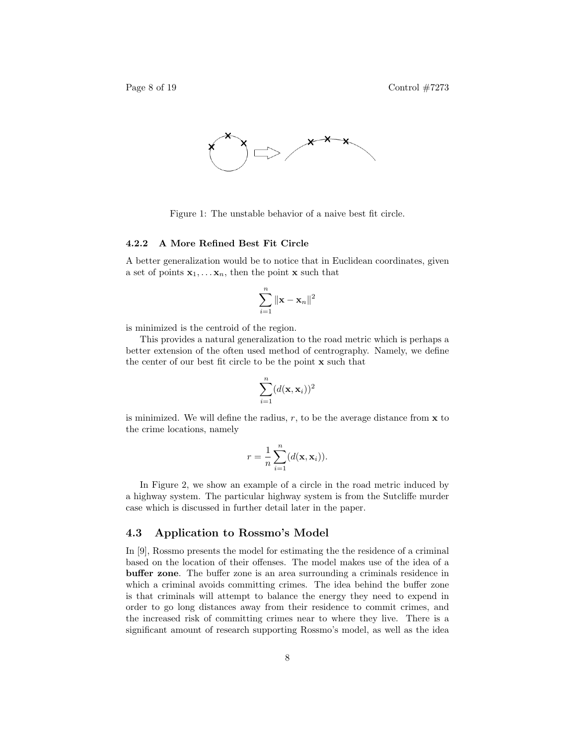



Figure 1: The unstable behavior of a naive best fit circle.

#### 4.2.2 A More Refined Best Fit Circle

A better generalization would be to notice that in Euclidean coordinates, given a set of points  $x_1, \ldots, x_n$ , then the point **x** such that

$$
\sum_{i=1}^n \|\mathbf{x} - \mathbf{x}_n\|^2
$$

is minimized is the centroid of the region.

This provides a natural generalization to the road metric which is perhaps a better extension of the often used method of centrography. Namely, we define the center of our best fit circle to be the point x such that

$$
\sum_{i=1}^n (d(\mathbf{x}, \mathbf{x}_i))^2
$$

is minimized. We will define the radius,  $r$ , to be the average distance from  $x$  to the crime locations, namely

$$
r = \frac{1}{n} \sum_{i=1}^{n} (d(\mathbf{x}, \mathbf{x}_i)).
$$

In Figure 2, we show an example of a circle in the road metric induced by a highway system. The particular highway system is from the Sutcliffe murder case which is discussed in further detail later in the paper.

#### 4.3 Application to Rossmo's Model

In [9], Rossmo presents the model for estimating the the residence of a criminal based on the location of their offenses. The model makes use of the idea of a buffer zone. The buffer zone is an area surrounding a criminals residence in which a criminal avoids committing crimes. The idea behind the buffer zone is that criminals will attempt to balance the energy they need to expend in order to go long distances away from their residence to commit crimes, and the increased risk of committing crimes near to where they live. There is a significant amount of research supporting Rossmo's model, as well as the idea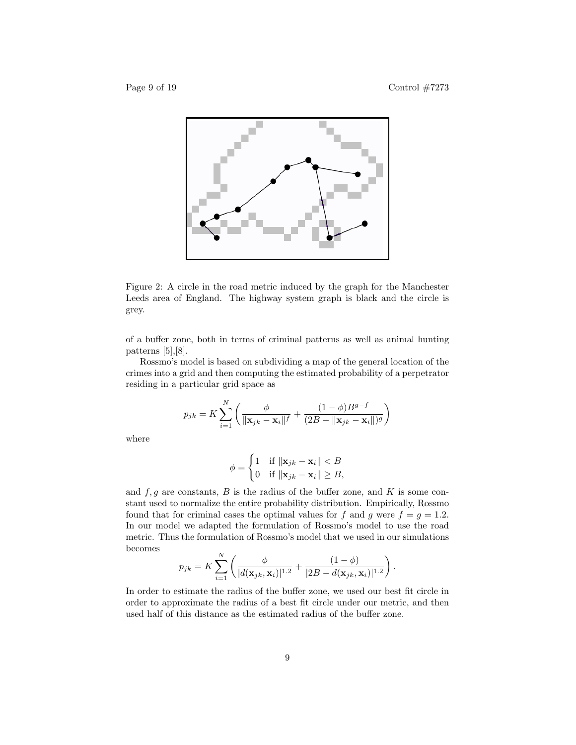

Figure 2: A circle in the road metric induced by the graph for the Manchester Leeds area of England. The highway system graph is black and the circle is grey.

of a buffer zone, both in terms of criminal patterns as well as animal hunting patterns [5],[8].

Rossmo's model is based on subdividing a map of the general location of the crimes into a grid and then computing the estimated probability of a perpetrator residing in a particular grid space as

$$
p_{jk} = K \sum_{i=1}^{N} \left( \frac{\phi}{\|\mathbf{x}_{jk} - \mathbf{x}_{i}\|^f} + \frac{(1-\phi)B^{g-f}}{(2B - \|\mathbf{x}_{jk} - \mathbf{x}_{i}\|)^g} \right)
$$

where

$$
\phi = \begin{cases} 1 & \text{if } \|\mathbf{x}_{jk} - \mathbf{x}_i\| < B \\ 0 & \text{if } \|\mathbf{x}_{jk} - \mathbf{x}_i\| \ge B, \end{cases}
$$

and  $f, g$  are constants,  $B$  is the radius of the buffer zone, and  $K$  is some constant used to normalize the entire probability distribution. Empirically, Rossmo found that for criminal cases the optimal values for f and g were  $f = g = 1.2$ . In our model we adapted the formulation of Rossmo's model to use the road metric. Thus the formulation of Rossmo's model that we used in our simulations becomes

$$
p_{jk} = K \sum_{i=1}^{N} \left( \frac{\phi}{|d(\mathbf{x}_{jk}, \mathbf{x}_i)|^{1.2}} + \frac{(1-\phi)}{|2B - d(\mathbf{x}_{jk}, \mathbf{x}_i)|^{1.2}} \right).
$$

In order to estimate the radius of the buffer zone, we used our best fit circle in order to approximate the radius of a best fit circle under our metric, and then used half of this distance as the estimated radius of the buffer zone.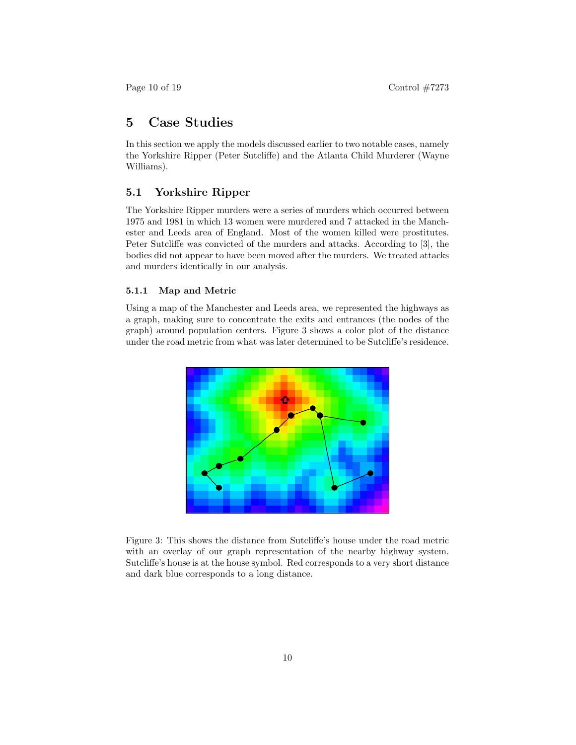# 5 Case Studies

In this section we apply the models discussed earlier to two notable cases, namely the Yorkshire Ripper (Peter Sutcliffe) and the Atlanta Child Murderer (Wayne Williams).

#### 5.1 Yorkshire Ripper

The Yorkshire Ripper murders were a series of murders which occurred between 1975 and 1981 in which 13 women were murdered and 7 attacked in the Manchester and Leeds area of England. Most of the women killed were prostitutes. Peter Sutcliffe was convicted of the murders and attacks. According to [3], the bodies did not appear to have been moved after the murders. We treated attacks and murders identically in our analysis.

#### 5.1.1 Map and Metric

Using a map of the Manchester and Leeds area, we represented the highways as a graph, making sure to concentrate the exits and entrances (the nodes of the graph) around population centers. Figure 3 shows a color plot of the distance under the road metric from what was later determined to be Sutcliffe's residence.



Figure 3: This shows the distance from Sutcliffe's house under the road metric with an overlay of our graph representation of the nearby highway system. Sutcliffe's house is at the house symbol. Red corresponds to a very short distance and dark blue corresponds to a long distance.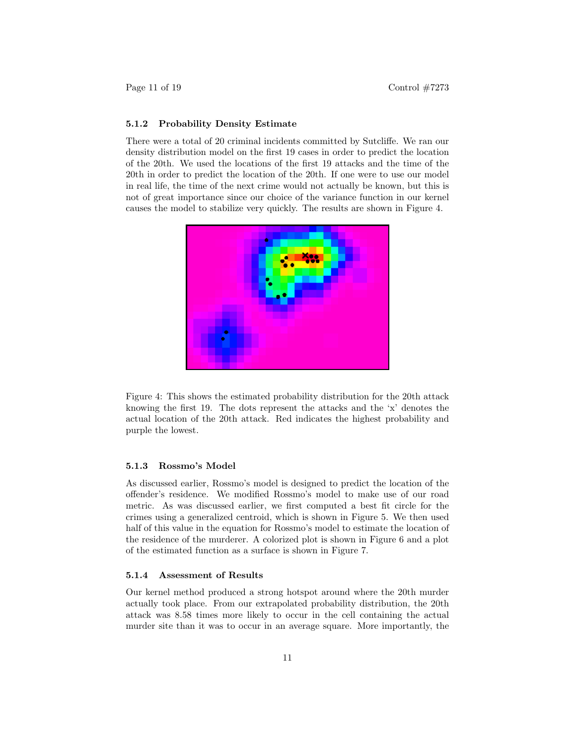#### 5.1.2 Probability Density Estimate

There were a total of 20 criminal incidents committed by Sutcliffe. We ran our density distribution model on the first 19 cases in order to predict the location of the 20th. We used the locations of the first 19 attacks and the time of the 20th in order to predict the location of the 20th. If one were to use our model in real life, the time of the next crime would not actually be known, but this is not of great importance since our choice of the variance function in our kernel causes the model to stabilize very quickly. The results are shown in Figure 4.



Figure 4: This shows the estimated probability distribution for the 20th attack knowing the first 19. The dots represent the attacks and the 'x' denotes the actual location of the 20th attack. Red indicates the highest probability and purple the lowest.

#### 5.1.3 Rossmo's Model

As discussed earlier, Rossmo's model is designed to predict the location of the offender's residence. We modified Rossmo's model to make use of our road metric. As was discussed earlier, we first computed a best fit circle for the crimes using a generalized centroid, which is shown in Figure 5. We then used half of this value in the equation for Rossmo's model to estimate the location of the residence of the murderer. A colorized plot is shown in Figure 6 and a plot of the estimated function as a surface is shown in Figure 7.

#### 5.1.4 Assessment of Results

Our kernel method produced a strong hotspot around where the 20th murder actually took place. From our extrapolated probability distribution, the 20th attack was 8.58 times more likely to occur in the cell containing the actual murder site than it was to occur in an average square. More importantly, the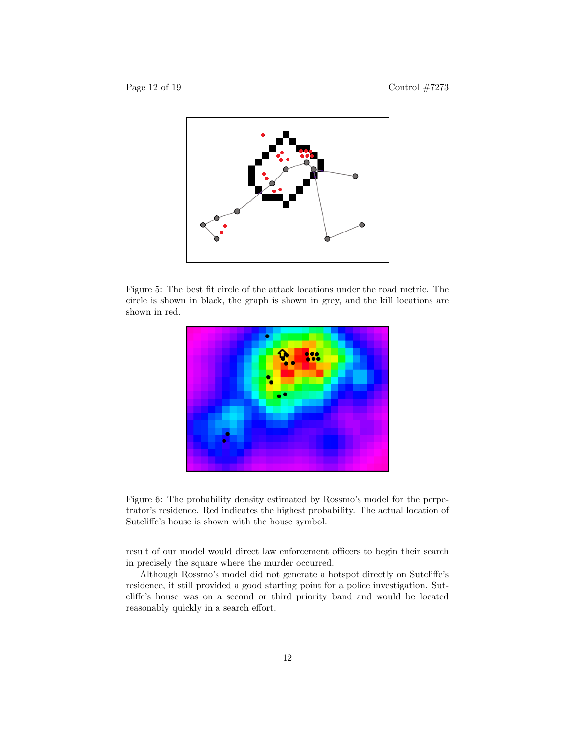

Figure 5: The best fit circle of the attack locations under the road metric. The circle is shown in black, the graph is shown in grey, and the kill locations are shown in red.



Figure 6: The probability density estimated by Rossmo's model for the perpetrator's residence. Red indicates the highest probability. The actual location of Sutcliffe's house is shown with the house symbol.

result of our model would direct law enforcement officers to begin their search in precisely the square where the murder occurred.

Although Rossmo's model did not generate a hotspot directly on Sutcliffe's residence, it still provided a good starting point for a police investigation. Sutcliffe's house was on a second or third priority band and would be located reasonably quickly in a search effort.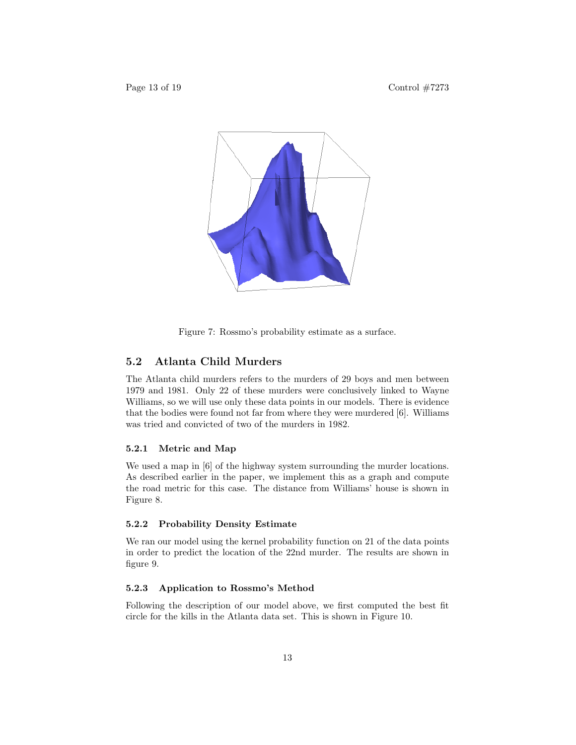

Figure 7: Rossmo's probability estimate as a surface.

### 5.2 Atlanta Child Murders

The Atlanta child murders refers to the murders of 29 boys and men between 1979 and 1981. Only 22 of these murders were conclusively linked to Wayne Williams, so we will use only these data points in our models. There is evidence that the bodies were found not far from where they were murdered [6]. Williams was tried and convicted of two of the murders in 1982.

#### 5.2.1 Metric and Map

We used a map in [6] of the highway system surrounding the murder locations. As described earlier in the paper, we implement this as a graph and compute the road metric for this case. The distance from Williams' house is shown in Figure 8.

#### 5.2.2 Probability Density Estimate

We ran our model using the kernel probability function on 21 of the data points in order to predict the location of the 22nd murder. The results are shown in figure 9.

#### 5.2.3 Application to Rossmo's Method

Following the description of our model above, we first computed the best fit circle for the kills in the Atlanta data set. This is shown in Figure 10.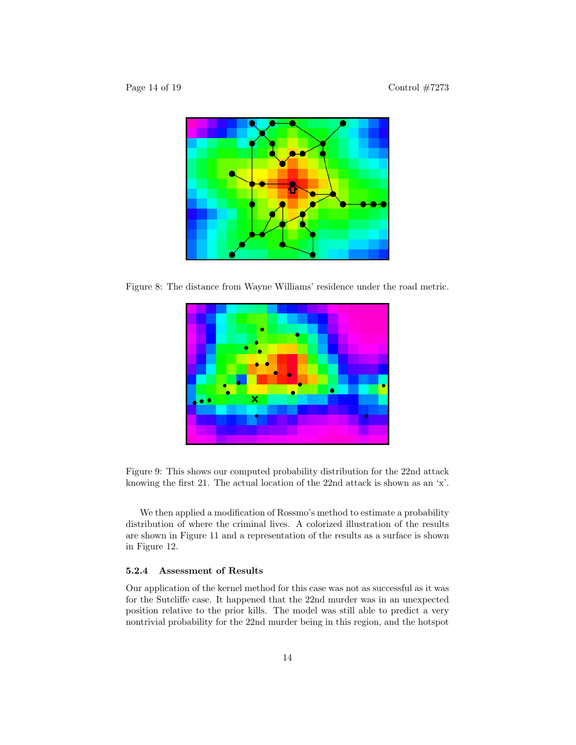

Figure 8: The distance from Wayne Williams' residence under the road metric.



Figure 9: This shows our computed probability distribution for the 22nd attack knowing the first 21. The actual location of the 22nd attack is shown as an 'x'.

We then applied a modification of Rossmo's method to estimate a probability distribution of where the criminal lives. A colorized illustration of the results are shown in Figure 11 and a representation of the results as a surface is shown in Figure 12.

#### 5.2.4 Assessment of Results

Our application of the kernel method for this case was not as successful as it was for the Sutcliffe case. It happened that the 22nd murder was in an unexpected position relative to the prior kills. The model was still able to predict a very nontrivial probability for the 22nd murder being in this region, and the hotspot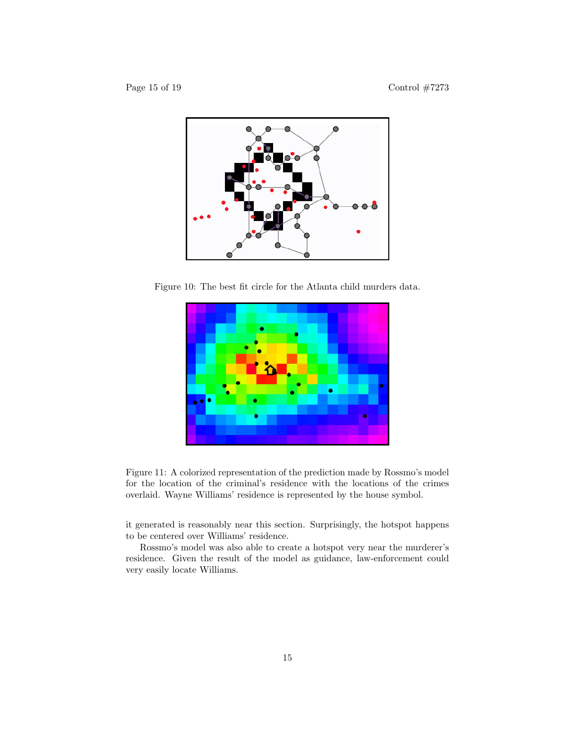

Figure 10: The best fit circle for the Atlanta child murders data.



Figure 11: A colorized representation of the prediction made by Rossmo's model for the location of the criminal's residence with the locations of the crimes overlaid. Wayne Williams' residence is represented by the house symbol.

it generated is reasonably near this section. Surprisingly, the hotspot happens to be centered over Williams' residence.

Rossmo's model was also able to create a hotspot very near the murderer's residence. Given the result of the model as guidance, law-enforcement could very easily locate Williams.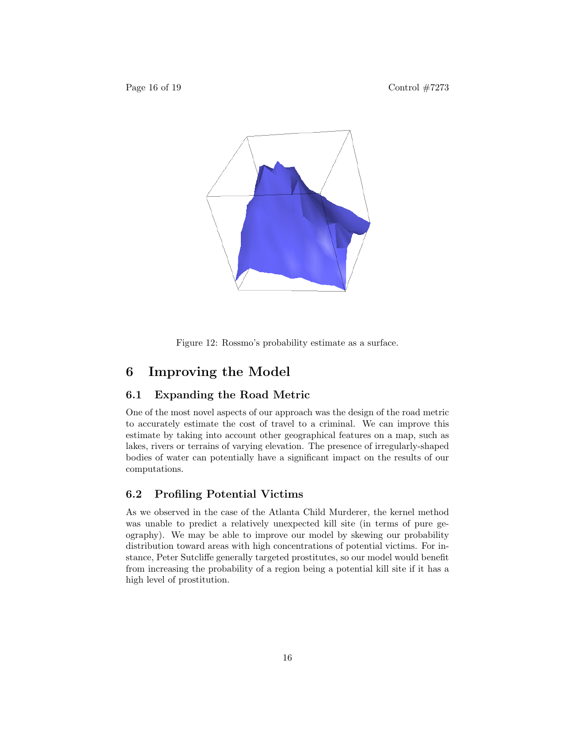

Figure 12: Rossmo's probability estimate as a surface.

# 6 Improving the Model

#### 6.1 Expanding the Road Metric

One of the most novel aspects of our approach was the design of the road metric to accurately estimate the cost of travel to a criminal. We can improve this estimate by taking into account other geographical features on a map, such as lakes, rivers or terrains of varying elevation. The presence of irregularly-shaped bodies of water can potentially have a significant impact on the results of our computations.

#### 6.2 Profiling Potential Victims

As we observed in the case of the Atlanta Child Murderer, the kernel method was unable to predict a relatively unexpected kill site (in terms of pure geography). We may be able to improve our model by skewing our probability distribution toward areas with high concentrations of potential victims. For instance, Peter Sutcliffe generally targeted prostitutes, so our model would benefit from increasing the probability of a region being a potential kill site if it has a high level of prostitution.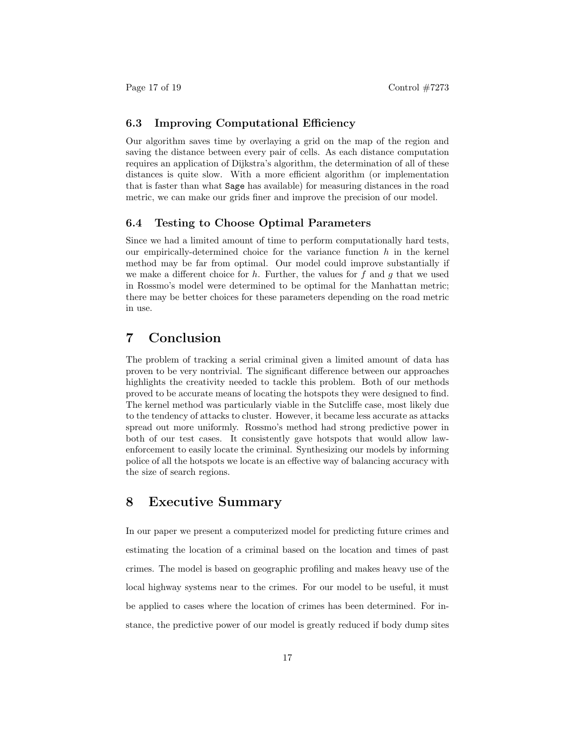#### 6.3 Improving Computational Efficiency

Our algorithm saves time by overlaying a grid on the map of the region and saving the distance between every pair of cells. As each distance computation requires an application of Dijkstra's algorithm, the determination of all of these distances is quite slow. With a more efficient algorithm (or implementation that is faster than what Sage has available) for measuring distances in the road metric, we can make our grids finer and improve the precision of our model.

#### 6.4 Testing to Choose Optimal Parameters

Since we had a limited amount of time to perform computationally hard tests, our empirically-determined choice for the variance function  $h$  in the kernel method may be far from optimal. Our model could improve substantially if we make a different choice for  $h$ . Further, the values for  $f$  and  $g$  that we used in Rossmo's model were determined to be optimal for the Manhattan metric; there may be better choices for these parameters depending on the road metric in use.

# 7 Conclusion

The problem of tracking a serial criminal given a limited amount of data has proven to be very nontrivial. The significant difference between our approaches highlights the creativity needed to tackle this problem. Both of our methods proved to be accurate means of locating the hotspots they were designed to find. The kernel method was particularly viable in the Sutcliffe case, most likely due to the tendency of attacks to cluster. However, it became less accurate as attacks spread out more uniformly. Rossmo's method had strong predictive power in both of our test cases. It consistently gave hotspots that would allow lawenforcement to easily locate the criminal. Synthesizing our models by informing police of all the hotspots we locate is an effective way of balancing accuracy with the size of search regions.

### 8 Executive Summary

In our paper we present a computerized model for predicting future crimes and estimating the location of a criminal based on the location and times of past crimes. The model is based on geographic profiling and makes heavy use of the local highway systems near to the crimes. For our model to be useful, it must be applied to cases where the location of crimes has been determined. For instance, the predictive power of our model is greatly reduced if body dump sites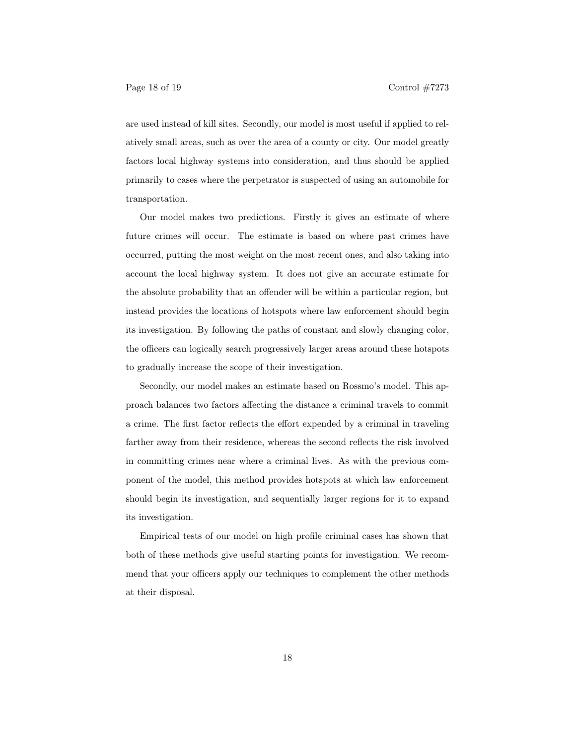are used instead of kill sites. Secondly, our model is most useful if applied to relatively small areas, such as over the area of a county or city. Our model greatly factors local highway systems into consideration, and thus should be applied primarily to cases where the perpetrator is suspected of using an automobile for transportation.

Our model makes two predictions. Firstly it gives an estimate of where future crimes will occur. The estimate is based on where past crimes have occurred, putting the most weight on the most recent ones, and also taking into account the local highway system. It does not give an accurate estimate for the absolute probability that an offender will be within a particular region, but instead provides the locations of hotspots where law enforcement should begin its investigation. By following the paths of constant and slowly changing color, the officers can logically search progressively larger areas around these hotspots to gradually increase the scope of their investigation.

Secondly, our model makes an estimate based on Rossmo's model. This approach balances two factors affecting the distance a criminal travels to commit a crime. The first factor reflects the effort expended by a criminal in traveling farther away from their residence, whereas the second reflects the risk involved in committing crimes near where a criminal lives. As with the previous component of the model, this method provides hotspots at which law enforcement should begin its investigation, and sequentially larger regions for it to expand its investigation.

Empirical tests of our model on high profile criminal cases has shown that both of these methods give useful starting points for investigation. We recommend that your officers apply our techniques to complement the other methods at their disposal.